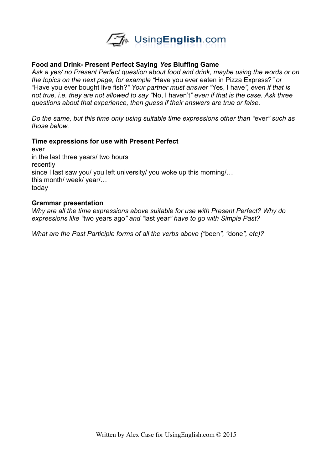

## **Food and Drink- Present Perfect Saying** *Yes* **Bluffing Game**

*Ask a yes/ no Present Perfect question about food and drink, maybe using the words or on the topics on the next page, for example "*Have you ever eaten in Pizza Express?*" or "*Have you ever bought live fish?*" Your partner must answer "*Yes, I have*", even if that is not true, i.e. they are not allowed to say "*No, I haven't*" even if that is the case. Ask three questions about that experience, then guess if their answers are true or false.* 

*Do the same, but this time only using suitable time expressions other than "*ever*" such as those below.* 

## **Time expressions for use with Present Perfect**

ever in the last three years/ two hours recently since I last saw you/ you left university/ you woke up this morning/... this month/ week/ year/… today

## **Grammar presentation**

*Why are all the time expressions above suitable for use with Present Perfect? Why do expressions like "*two years ago*" and "*last year*" have to go with Simple Past?*

*What are the Past Participle forms of all the verbs above ("*been*", "*done*", etc)?*